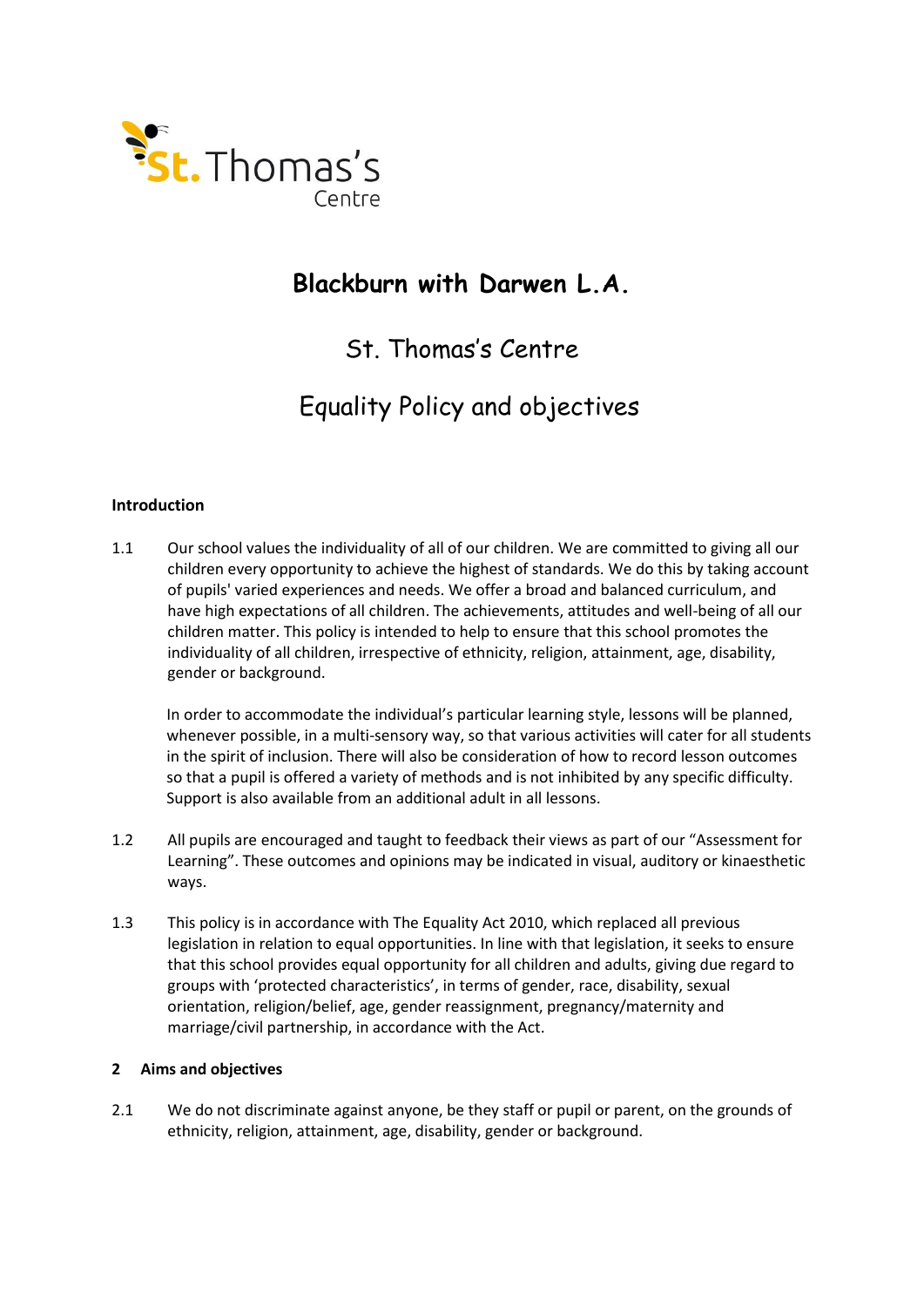

# **Blackburn with Darwen L.A.**

# St. Thomas's Centre

# Equality Policy and objectives

# **Introduction**

1.1 Our school values the individuality of all of our children. We are committed to giving all our children every opportunity to achieve the highest of standards. We do this by taking account of pupils' varied experiences and needs. We offer a broad and balanced curriculum, and have high expectations of all children. The achievements, attitudes and well-being of all our children matter. This policy is intended to help to ensure that this school promotes the individuality of all children, irrespective of ethnicity, religion, attainment, age, disability, gender or background.

In order to accommodate the individual's particular learning style, lessons will be planned, whenever possible, in a multi-sensory way, so that various activities will cater for all students in the spirit of inclusion. There will also be consideration of how to record lesson outcomes so that a pupil is offered a variety of methods and is not inhibited by any specific difficulty. Support is also available from an additional adult in all lessons.

- 1.2 All pupils are encouraged and taught to feedback their views as part of our "Assessment for Learning". These outcomes and opinions may be indicated in visual, auditory or kinaesthetic ways.
- 1.3 This policy is in accordance with The Equality Act 2010, which replaced all previous legislation in relation to equal opportunities. In line with that legislation, it seeks to ensure that this school provides equal opportunity for all children and adults, giving due regard to groups with 'protected characteristics', in terms of gender, race, disability, sexual orientation, religion/belief, age, gender reassignment, pregnancy/maternity and marriage/civil partnership, in accordance with the Act.

### **2 Aims and objectives**

2.1 We do not discriminate against anyone, be they staff or pupil or parent, on the grounds of ethnicity, religion, attainment, age, disability, gender or background.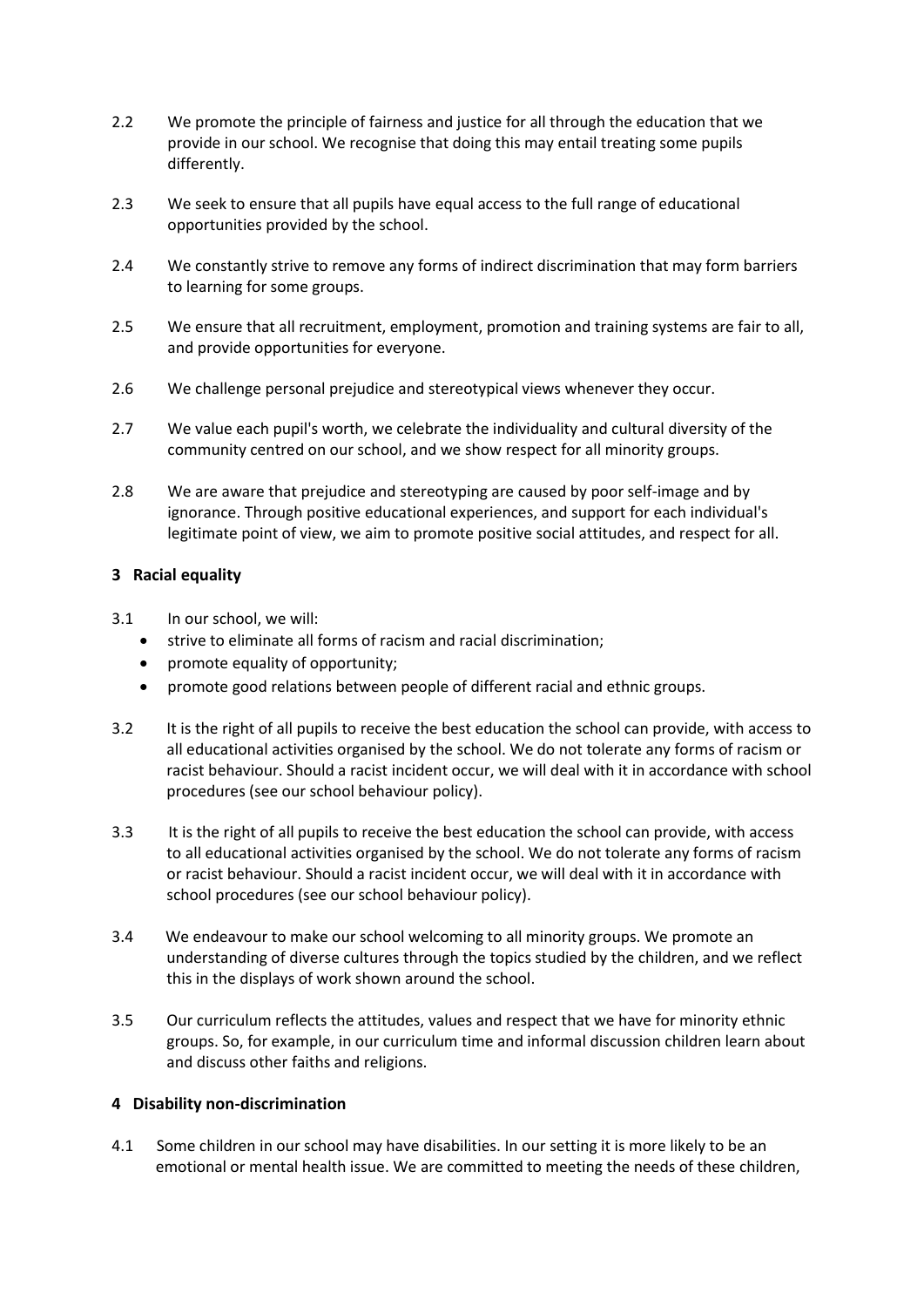- 2.2 We promote the principle of fairness and justice for all through the education that we provide in our school. We recognise that doing this may entail treating some pupils differently.
- 2.3 We seek to ensure that all pupils have equal access to the full range of educational opportunities provided by the school.
- 2.4 We constantly strive to remove any forms of indirect discrimination that may form barriers to learning for some groups.
- 2.5 We ensure that all recruitment, employment, promotion and training systems are fair to all, and provide opportunities for everyone.
- 2.6 We challenge personal prejudice and stereotypical views whenever they occur.
- 2.7 We value each pupil's worth, we celebrate the individuality and cultural diversity of the community centred on our school, and we show respect for all minority groups.
- 2.8 We are aware that prejudice and stereotyping are caused by poor self-image and by ignorance. Through positive educational experiences, and support for each individual's legitimate point of view, we aim to promote positive social attitudes, and respect for all.

# **3 Racial equality**

- 3.1 In our school, we will:
	- strive to eliminate all forms of racism and racial discrimination;
	- promote equality of opportunity;
	- promote good relations between people of different racial and ethnic groups.
- 3.2 It is the right of all pupils to receive the best education the school can provide, with access to all educational activities organised by the school. We do not tolerate any forms of racism or racist behaviour. Should a racist incident occur, we will deal with it in accordance with school procedures (see our school behaviour policy).
- 3.3 It is the right of all pupils to receive the best education the school can provide, with access to all educational activities organised by the school. We do not tolerate any forms of racism or racist behaviour. Should a racist incident occur, we will deal with it in accordance with school procedures (see our school behaviour policy).
- 3.4 We endeavour to make our school welcoming to all minority groups. We promote an understanding of diverse cultures through the topics studied by the children, and we reflect this in the displays of work shown around the school.
- 3.5 Our curriculum reflects the attitudes, values and respect that we have for minority ethnic groups. So, for example, in our curriculum time and informal discussion children learn about and discuss other faiths and religions.

### **4 Disability non-discrimination**

4.1 Some children in our school may have disabilities. In our setting it is more likely to be an emotional or mental health issue. We are committed to meeting the needs of these children,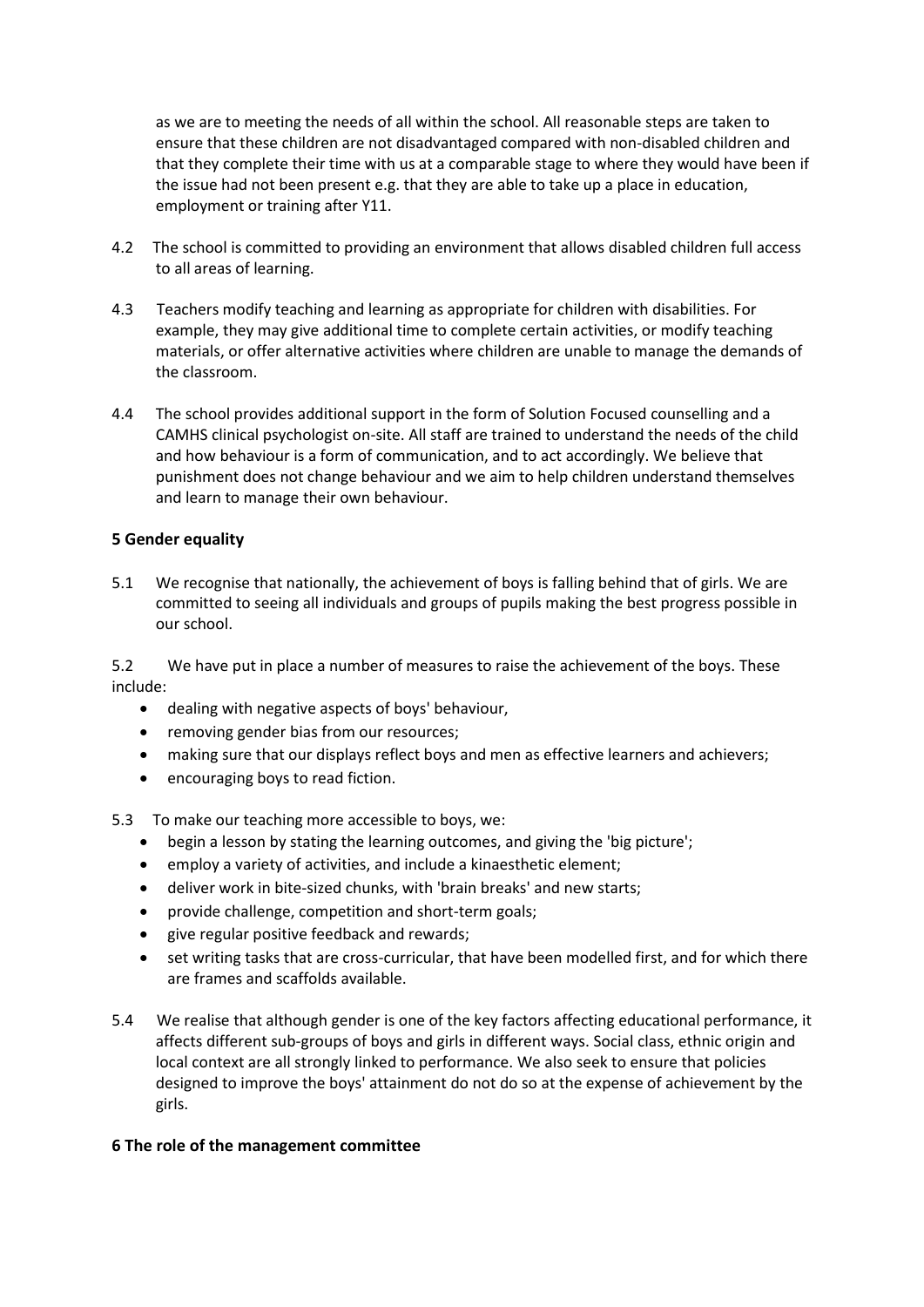as we are to meeting the needs of all within the school. All reasonable steps are taken to ensure that these children are not disadvantaged compared with non-disabled children and that they complete their time with us at a comparable stage to where they would have been if the issue had not been present e.g. that they are able to take up a place in education, employment or training after Y11.

- 4.2 The school is committed to providing an environment that allows disabled children full access to all areas of learning.
- 4.3 Teachers modify teaching and learning as appropriate for children with disabilities. For example, they may give additional time to complete certain activities, or modify teaching materials, or offer alternative activities where children are unable to manage the demands of the classroom.
- 4.4 The school provides additional support in the form of Solution Focused counselling and a CAMHS clinical psychologist on-site. All staff are trained to understand the needs of the child and how behaviour is a form of communication, and to act accordingly. We believe that punishment does not change behaviour and we aim to help children understand themselves and learn to manage their own behaviour.

## **5 Gender equality**

5.1 We recognise that nationally, the achievement of boys is falling behind that of girls. We are committed to seeing all individuals and groups of pupils making the best progress possible in our school.

5.2 We have put in place a number of measures to raise the achievement of the boys. These include:

- dealing with negative aspects of boys' behaviour,
- removing gender bias from our resources;
- making sure that our displays reflect boys and men as effective learners and achievers;
- encouraging boys to read fiction.
- 5.3 To make our teaching more accessible to boys, we:
	- begin a lesson by stating the learning outcomes, and giving the 'big picture';
	- employ a variety of activities, and include a kinaesthetic element;
	- deliver work in bite-sized chunks, with 'brain breaks' and new starts;
	- provide challenge, competition and short-term goals;
	- give regular positive feedback and rewards;
	- set writing tasks that are cross-curricular, that have been modelled first, and for which there are frames and scaffolds available.
- 5.4 We realise that although gender is one of the key factors affecting educational performance, it affects different sub-groups of boys and girls in different ways. Social class, ethnic origin and local context are all strongly linked to performance. We also seek to ensure that policies designed to improve the boys' attainment do not do so at the expense of achievement by the girls.

### **6 The role of the management committee**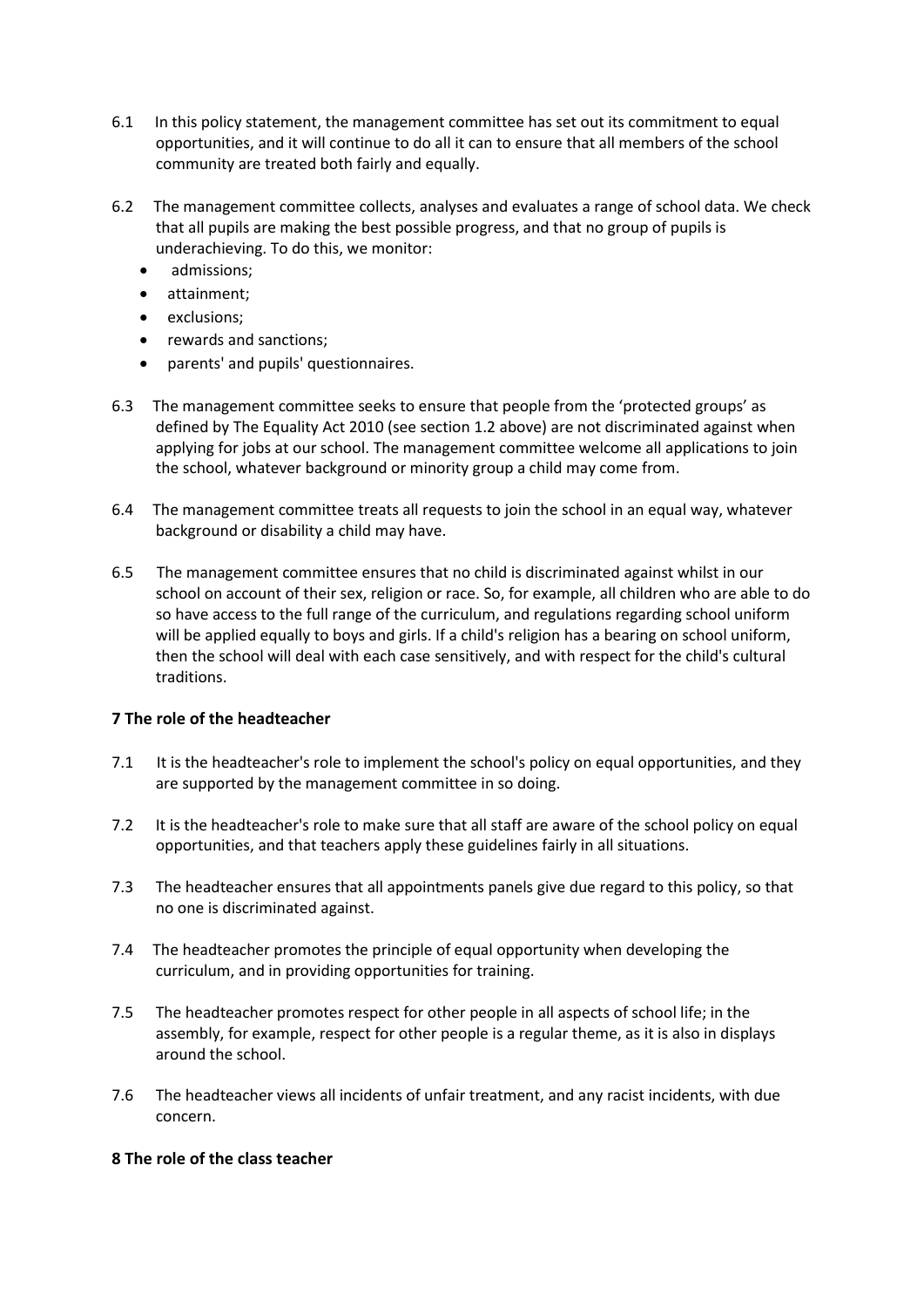- 6.1 In this policy statement, the management committee has set out its commitment to equal opportunities, and it will continue to do all it can to ensure that all members of the school community are treated both fairly and equally.
- 6.2 The management committee collects, analyses and evaluates a range of school data. We check that all pupils are making the best possible progress, and that no group of pupils is underachieving. To do this, we monitor:
	- admissions;
	- attainment;
	- exclusions;
	- rewards and sanctions;
	- parents' and pupils' questionnaires.
- 6.3 The management committee seeks to ensure that people from the 'protected groups' as defined by The Equality Act 2010 (see section 1.2 above) are not discriminated against when applying for jobs at our school. The management committee welcome all applications to join the school, whatever background or minority group a child may come from.
- 6.4 The management committee treats all requests to join the school in an equal way, whatever background or disability a child may have.
- 6.5 The management committee ensures that no child is discriminated against whilst in our school on account of their sex, religion or race. So, for example, all children who are able to do so have access to the full range of the curriculum, and regulations regarding school uniform will be applied equally to boys and girls. If a child's religion has a bearing on school uniform, then the school will deal with each case sensitively, and with respect for the child's cultural traditions.

# **7 The role of the headteacher**

- 7.1 It is the headteacher's role to implement the school's policy on equal opportunities, and they are supported by the management committee in so doing.
- 7.2 It is the headteacher's role to make sure that all staff are aware of the school policy on equal opportunities, and that teachers apply these guidelines fairly in all situations.
- 7.3 The headteacher ensures that all appointments panels give due regard to this policy, so that no one is discriminated against.
- 7.4 The headteacher promotes the principle of equal opportunity when developing the curriculum, and in providing opportunities for training.
- 7.5 The headteacher promotes respect for other people in all aspects of school life; in the assembly, for example, respect for other people is a regular theme, as it is also in displays around the school.
- 7.6 The headteacher views all incidents of unfair treatment, and any racist incidents, with due concern.

# **8 The role of the class teacher**